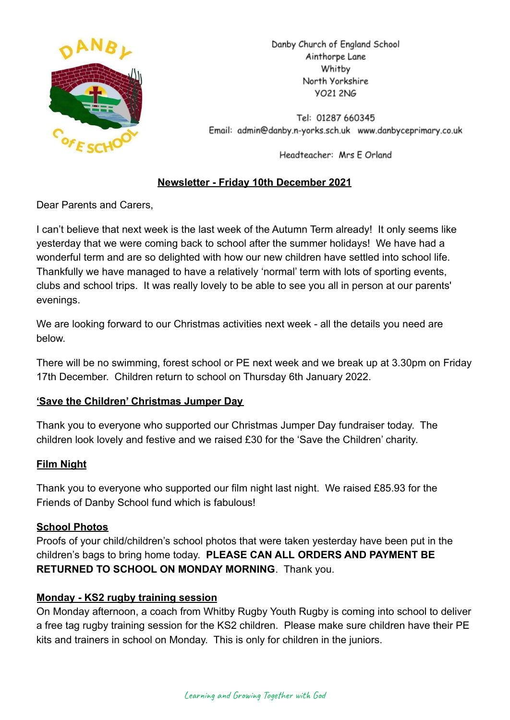

Danby Church of England School Ainthorpe Lane Whitby North Yorkshire **YO21 2NG** 

Tel: 01287 660345 Email: admin@danby.n-yorks.sch.uk www.danbyceprimary.co.uk

Headteacher: Mrs E Orland

## **Newsletter - Friday 10th December 2021**

Dear Parents and Carers,

I can't believe that next week is the last week of the Autumn Term already! It only seems like yesterday that we were coming back to school after the summer holidays! We have had a wonderful term and are so delighted with how our new children have settled into school life. Thankfully we have managed to have a relatively 'normal' term with lots of sporting events, clubs and school trips. It was really lovely to be able to see you all in person at our parents' evenings.

We are looking forward to our Christmas activities next week - all the details you need are below.

There will be no swimming, forest school or PE next week and we break up at 3.30pm on Friday 17th December. Children return to school on Thursday 6th January 2022.

## **'Save the Children' Christmas Jumper Day**

Thank you to everyone who supported our Christmas Jumper Day fundraiser today. The children look lovely and festive and we raised £30 for the 'Save the Children' charity.

## **Film Night**

Thank you to everyone who supported our film night last night. We raised £85.93 for the Friends of Danby School fund which is fabulous!

#### **School Photos**

Proofs of your child/children's school photos that were taken yesterday have been put in the children's bags to bring home today. **PLEASE CAN ALL ORDERS AND PAYMENT BE RETURNED TO SCHOOL ON MONDAY MORNING**. Thank you.

## **Monday - KS2 rugby training session**

On Monday afternoon, a coach from Whitby Rugby Youth Rugby is coming into school to deliver a free tag rugby training session for the KS2 children. Please make sure children have their PE kits and trainers in school on Monday. This is only for children in the juniors.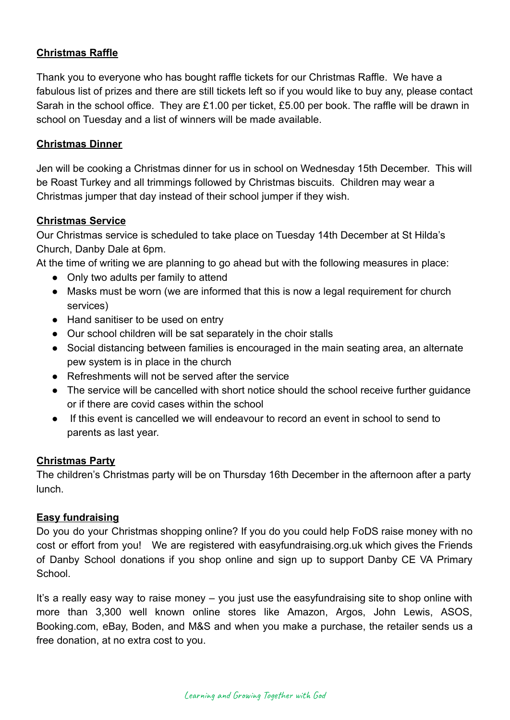## **Christmas Raffle**

Thank you to everyone who has bought raffle tickets for our Christmas Raffle. We have a fabulous list of prizes and there are still tickets left so if you would like to buy any, please contact Sarah in the school office. They are £1.00 per ticket, £5.00 per book. The raffle will be drawn in school on Tuesday and a list of winners will be made available.

### **Christmas Dinner**

Jen will be cooking a Christmas dinner for us in school on Wednesday 15th December. This will be Roast Turkey and all trimmings followed by Christmas biscuits. Children may wear a Christmas jumper that day instead of their school jumper if they wish.

### **Christmas Service**

Our Christmas service is scheduled to take place on Tuesday 14th December at St Hilda's Church, Danby Dale at 6pm.

At the time of writing we are planning to go ahead but with the following measures in place:

- Only two adults per family to attend
- Masks must be worn (we are informed that this is now a legal requirement for church services)
- Hand sanitiser to be used on entry
- Our school children will be sat separately in the choir stalls
- Social distancing between families is encouraged in the main seating area, an alternate pew system is in place in the church
- Refreshments will not be served after the service
- The service will be cancelled with short notice should the school receive further guidance or if there are covid cases within the school
- If this event is cancelled we will endeavour to record an event in school to send to parents as last year.

## **Christmas Party**

The children's Christmas party will be on Thursday 16th December in the afternoon after a party lunch.

#### **Easy fundraising**

Do you do your Christmas shopping online? If you do you could help FoDS raise money with no cost or effort from you! We are registered with easyfundraising.org.uk which gives the Friends of Danby School donations if you shop online and sign up to support Danby CE VA Primary **School.** 

It's a really easy way to raise money – you just use the easyfundraising site to shop online with more than 3,300 well known online stores like Amazon, Argos, John Lewis, ASOS, Booking.com, eBay, Boden, and M&S and when you make a purchase, the retailer sends us a free donation, at no extra cost to you.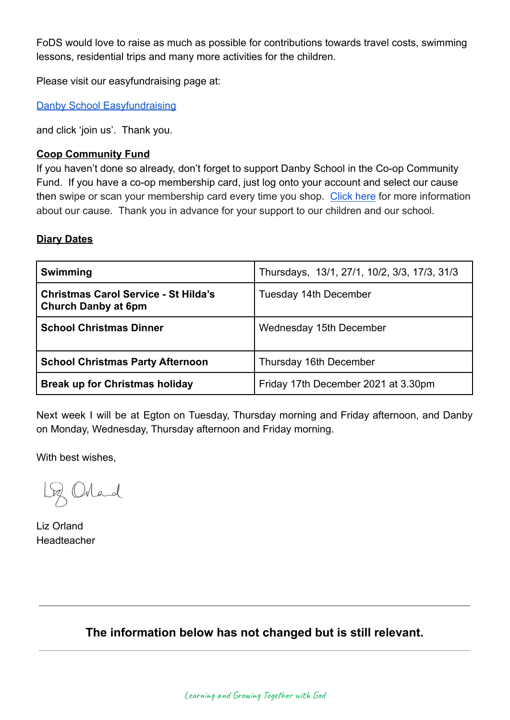FoDS would love to raise as much as possible for contributions towards travel costs, swimming lessons, residential trips and many more activities for the children.

Please visit our easyfundraising page at:

[Danby School Easyfundraising](https://www.easyfundraising.org.uk/causes/danbysch/?q=Danby%20School&cat=cause-autosuggest)

and click 'join us'. Thank you.

#### **Coop Community Fund**

If you haven't done so already, don't forget to support Danby School in the Co-op Community Fund. If you have a co-op membership card, just log onto your account and select our cause then swipe or scan your membership card every time you shop. [Click here](https://co-operate.coop.co.uk/groups/danby-church-of-england-primary-school/) for more information about our cause. Thank you in advance for your support to our children and our school.

#### **Diary Dates**

| <b>Swimming</b>                                                           | Thursdays, 13/1, 27/1, 10/2, 3/3, 17/3, 31/3 |
|---------------------------------------------------------------------------|----------------------------------------------|
| <b>Christmas Carol Service - St Hilda's</b><br><b>Church Danby at 6pm</b> | Tuesday 14th December                        |
| <b>School Christmas Dinner</b>                                            | Wednesday 15th December                      |
| <b>School Christmas Party Afternoon</b>                                   | Thursday 16th December                       |
| <b>Break up for Christmas holiday</b>                                     | Friday 17th December 2021 at 3.30pm          |

Next week I will be at Egton on Tuesday, Thursday morning and Friday afternoon, and Danby on Monday, Wednesday, Thursday afternoon and Friday morning.

With best wishes,

Lg Orland

Liz Orland Headteacher

**The information below has not changed but is still relevant.**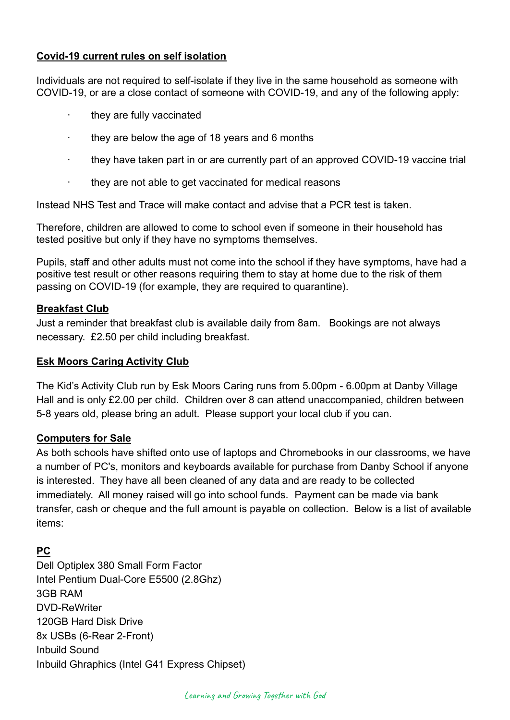## **Covid-19 current rules on self isolation**

Individuals are not required to self-isolate if they live in the same household as someone with COVID-19, or are a close contact of someone with COVID-19, and any of the following apply:

- they are fully vaccinated
- · they are below the age of 18 years and 6 months
- · they have taken part in or are currently part of an approved COVID-19 vaccine trial
- · they are not able to get vaccinated for medical reasons

Instead NHS Test and Trace will make contact and advise that a PCR test is taken.

Therefore, children are allowed to come to school even if someone in their household has tested positive but only if they have no symptoms themselves.

Pupils, staff and other adults must not come into the school if they have symptoms, have had a positive test result or other reasons requiring them to stay at home due to the risk of them passing on COVID-19 (for example, they are required to quarantine).

#### **Breakfast Club**

Just a reminder that breakfast club is available daily from 8am. Bookings are not always necessary. £2.50 per child including breakfast.

#### **Esk Moors Caring Activity Club**

The Kid's Activity Club run by Esk Moors Caring runs from 5.00pm - 6.00pm at Danby Village Hall and is only £2.00 per child. Children over 8 can attend unaccompanied, children between 5-8 years old, please bring an adult. Please support your local club if you can.

#### **Computers for Sale**

As both schools have shifted onto use of laptops and Chromebooks in our classrooms, we have a number of PC's, monitors and keyboards available for purchase from Danby School if anyone is interested. They have all been cleaned of any data and are ready to be collected immediately. All money raised will go into school funds. Payment can be made via bank transfer, cash or cheque and the full amount is payable on collection. Below is a list of available items:

## **PC**

Dell Optiplex 380 Small Form Factor Intel Pentium Dual-Core E5500 (2.8Ghz) 3GB RAM DVD-ReWriter 120GB Hard Disk Drive 8x USBs (6-Rear 2-Front) Inbuild Sound Inbuild Ghraphics (Intel G41 Express Chipset)